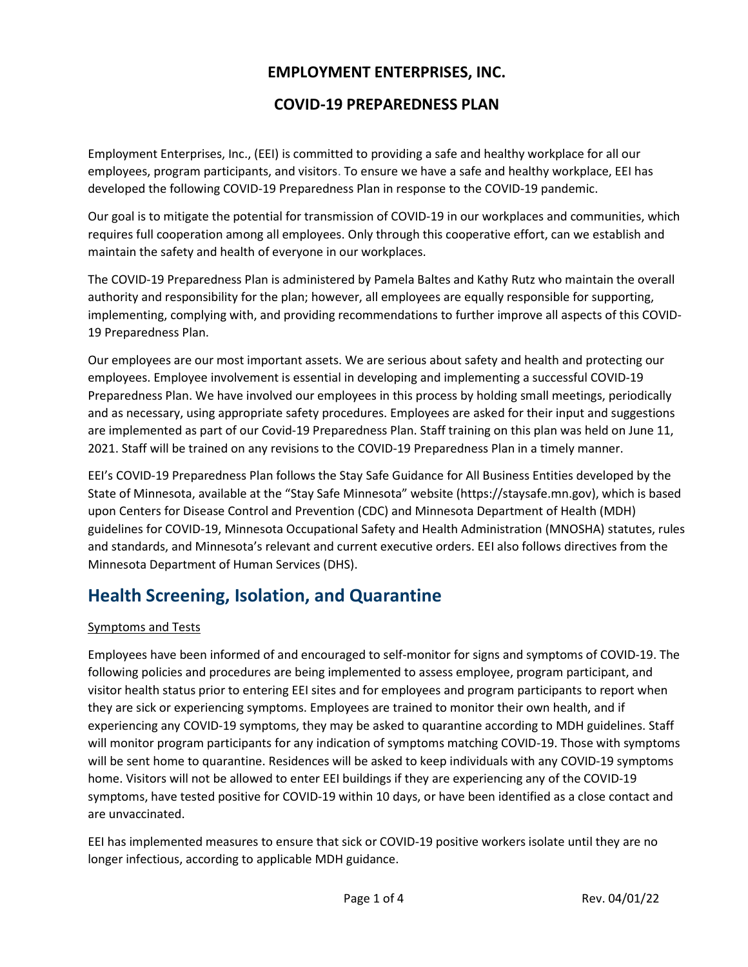### EMPLOYMENT ENTERPRISES, INC.

### COVID-19 PREPAREDNESS PLAN

Employment Enterprises, Inc., (EEI) is committed to providing a safe and healthy workplace for all our employees, program participants, and visitors. To ensure we have a safe and healthy workplace, EEI has developed the following COVID-19 Preparedness Plan in response to the COVID-19 pandemic.

Our goal is to mitigate the potential for transmission of COVID-19 in our workplaces and communities, which requires full cooperation among all employees. Only through this cooperative effort, can we establish and maintain the safety and health of everyone in our workplaces.

The COVID-19 Preparedness Plan is administered by Pamela Baltes and Kathy Rutz who maintain the overall authority and responsibility for the plan; however, all employees are equally responsible for supporting, implementing, complying with, and providing recommendations to further improve all aspects of this COVID-19 Preparedness Plan.

Our employees are our most important assets. We are serious about safety and health and protecting our employees. Employee involvement is essential in developing and implementing a successful COVID-19 Preparedness Plan. We have involved our employees in this process by holding small meetings, periodically and as necessary, using appropriate safety procedures. Employees are asked for their input and suggestions are implemented as part of our Covid-19 Preparedness Plan. Staff training on this plan was held on June 11, 2021. Staff will be trained on any revisions to the COVID-19 Preparedness Plan in a timely manner.

EEI's COVID-19 Preparedness Plan follows the Stay Safe Guidance for All Business Entities developed by the State of Minnesota, available at the "Stay Safe Minnesota" website (https://staysafe.mn.gov), which is based upon Centers for Disease Control and Prevention (CDC) and Minnesota Department of Health (MDH) guidelines for COVID-19, Minnesota Occupational Safety and Health Administration (MNOSHA) statutes, rules and standards, and Minnesota's relevant and current executive orders. EEI also follows directives from the Minnesota Department of Human Services (DHS).

# Health Screening, Isolation, and Quarantine

#### Symptoms and Tests

Employees have been informed of and encouraged to self-monitor for signs and symptoms of COVID-19. The following policies and procedures are being implemented to assess employee, program participant, and visitor health status prior to entering EEI sites and for employees and program participants to report when they are sick or experiencing symptoms. Employees are trained to monitor their own health, and if experiencing any COVID-19 symptoms, they may be asked to quarantine according to MDH guidelines. Staff will monitor program participants for any indication of symptoms matching COVID-19. Those with symptoms will be sent home to quarantine. Residences will be asked to keep individuals with any COVID-19 symptoms home. Visitors will not be allowed to enter EEI buildings if they are experiencing any of the COVID-19 symptoms, have tested positive for COVID-19 within 10 days, or have been identified as a close contact and are unvaccinated.

EEI has implemented measures to ensure that sick or COVID-19 positive workers isolate until they are no longer infectious, according to applicable MDH guidance.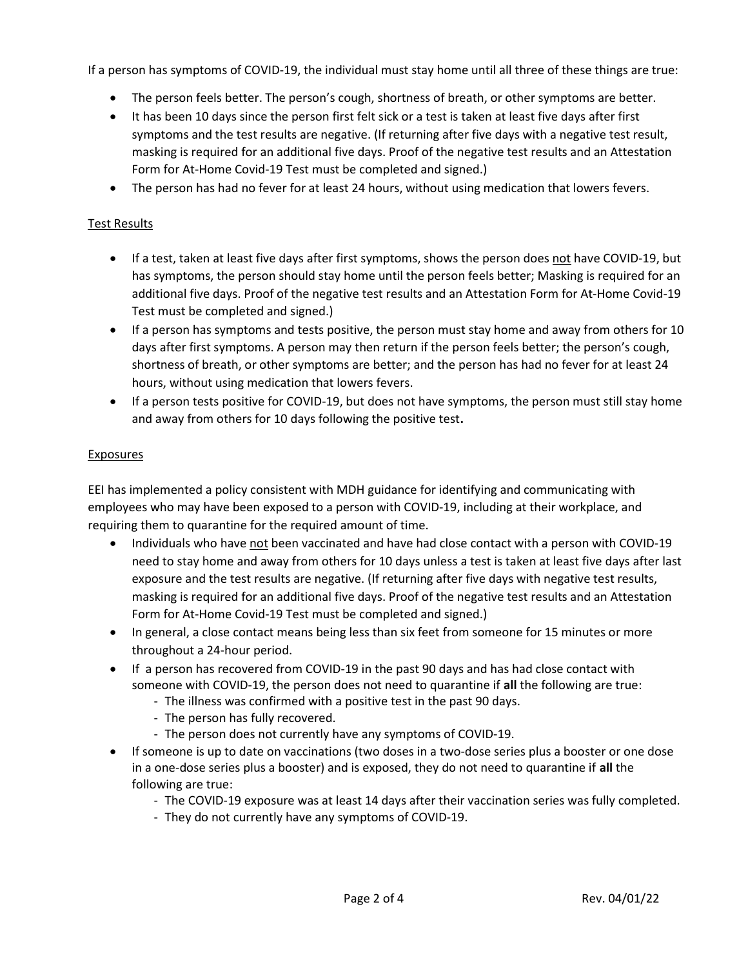If a person has symptoms of COVID-19, the individual must stay home until all three of these things are true:

- The person feels better. The person's cough, shortness of breath, or other symptoms are better.
- It has been 10 days since the person first felt sick or a test is taken at least five days after first symptoms and the test results are negative. (If returning after five days with a negative test result, masking is required for an additional five days. Proof of the negative test results and an Attestation Form for At-Home Covid-19 Test must be completed and signed.)
- The person has had no fever for at least 24 hours, without using medication that lowers fevers.

#### Test Results

- If a test, taken at least five days after first symptoms, shows the person does not have COVID-19, but has symptoms, the person should stay home until the person feels better; Masking is required for an additional five days. Proof of the negative test results and an Attestation Form for At-Home Covid-19 Test must be completed and signed.)
- If a person has symptoms and tests positive, the person must stay home and away from others for 10 days after first symptoms. A person may then return if the person feels better; the person's cough, shortness of breath, or other symptoms are better; and the person has had no fever for at least 24 hours, without using medication that lowers fevers.
- If a person tests positive for COVID-19, but does not have symptoms, the person must still stay home and away from others for 10 days following the positive test.

#### Exposures

EEI has implemented a policy consistent with MDH guidance for identifying and communicating with employees who may have been exposed to a person with COVID-19, including at their workplace, and requiring them to quarantine for the required amount of time.

- Individuals who have not been vaccinated and have had close contact with a person with COVID-19 need to stay home and away from others for 10 days unless a test is taken at least five days after last exposure and the test results are negative. (If returning after five days with negative test results, masking is required for an additional five days. Proof of the negative test results and an Attestation Form for At-Home Covid-19 Test must be completed and signed.)
- In general, a close contact means being less than six feet from someone for 15 minutes or more throughout a 24-hour period.
- If a person has recovered from COVID-19 in the past 90 days and has had close contact with someone with COVID-19, the person does not need to quarantine if all the following are true:
	- The illness was confirmed with a positive test in the past 90 days.
	- The person has fully recovered.
	- The person does not currently have any symptoms of COVID-19.
- If someone is up to date on vaccinations (two doses in a two-dose series plus a booster or one dose in a one-dose series plus a booster) and is exposed, they do not need to quarantine if all the following are true:
	- The COVID-19 exposure was at least 14 days after their vaccination series was fully completed.
	- They do not currently have any symptoms of COVID-19.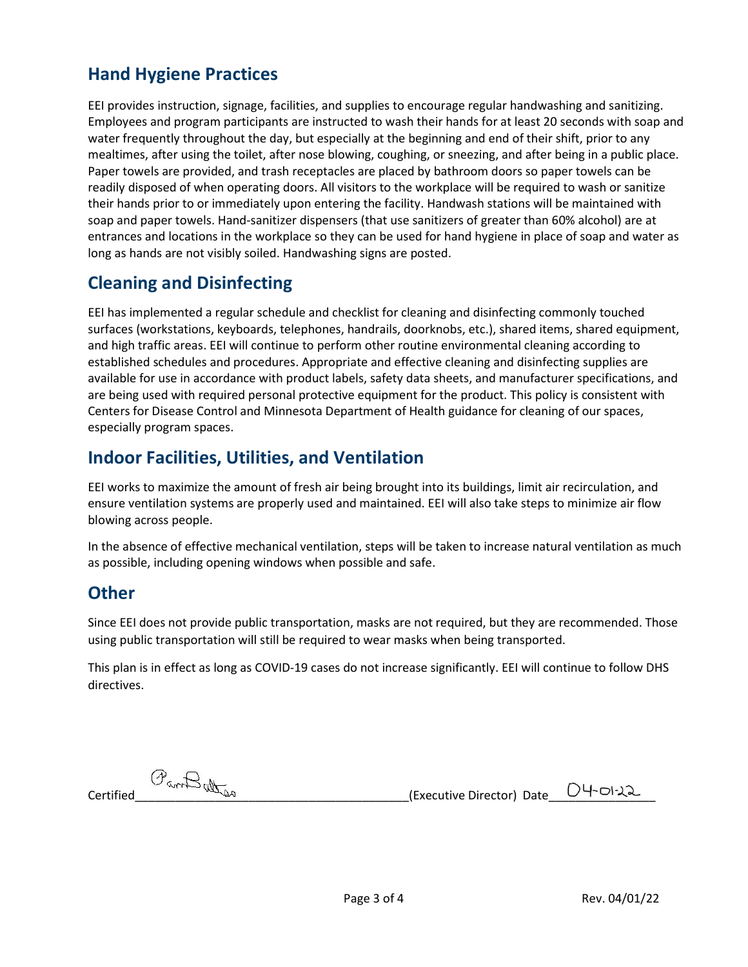# Hand Hygiene Practices

EEI provides instruction, signage, facilities, and supplies to encourage regular handwashing and sanitizing. Employees and program participants are instructed to wash their hands for at least 20 seconds with soap and water frequently throughout the day, but especially at the beginning and end of their shift, prior to any mealtimes, after using the toilet, after nose blowing, coughing, or sneezing, and after being in a public place. Paper towels are provided, and trash receptacles are placed by bathroom doors so paper towels can be readily disposed of when operating doors. All visitors to the workplace will be required to wash or sanitize their hands prior to or immediately upon entering the facility. Handwash stations will be maintained with soap and paper towels. Hand-sanitizer dispensers (that use sanitizers of greater than 60% alcohol) are at entrances and locations in the workplace so they can be used for hand hygiene in place of soap and water as long as hands are not visibly soiled. Handwashing signs are posted.

# Cleaning and Disinfecting

EEI has implemented a regular schedule and checklist for cleaning and disinfecting commonly touched surfaces (workstations, keyboards, telephones, handrails, doorknobs, etc.), shared items, shared equipment, and high traffic areas. EEI will continue to perform other routine environmental cleaning according to established schedules and procedures. Appropriate and effective cleaning and disinfecting supplies are available for use in accordance with product labels, safety data sheets, and manufacturer specifications, and are being used with required personal protective equipment for the product. This policy is consistent with Centers for Disease Control and Minnesota Department of Health guidance for cleaning of our spaces, especially program spaces.

## Indoor Facilities, Utilities, and Ventilation

EEI works to maximize the amount of fresh air being brought into its buildings, limit air recirculation, and ensure ventilation systems are properly used and maintained. EEI will also take steps to minimize air flow blowing across people.

In the absence of effective mechanical ventilation, steps will be taken to increase natural ventilation as much as possible, including opening windows when possible and safe.

## **Other**

Since EEI does not provide public transportation, masks are not required, but they are recommended. Those using public transportation will still be required to wear masks when being transported.

This plan is in effect as long as COVID-19 cases do not increase significantly. EEI will continue to follow DHS directives.

 $\mathcal{O}_{\text{Gav}}\bigoplus_{\text{Gav}}\mathcal{O}_{\text{Gav}}$  (Executive Director) Date  $\Box$  4-01-22